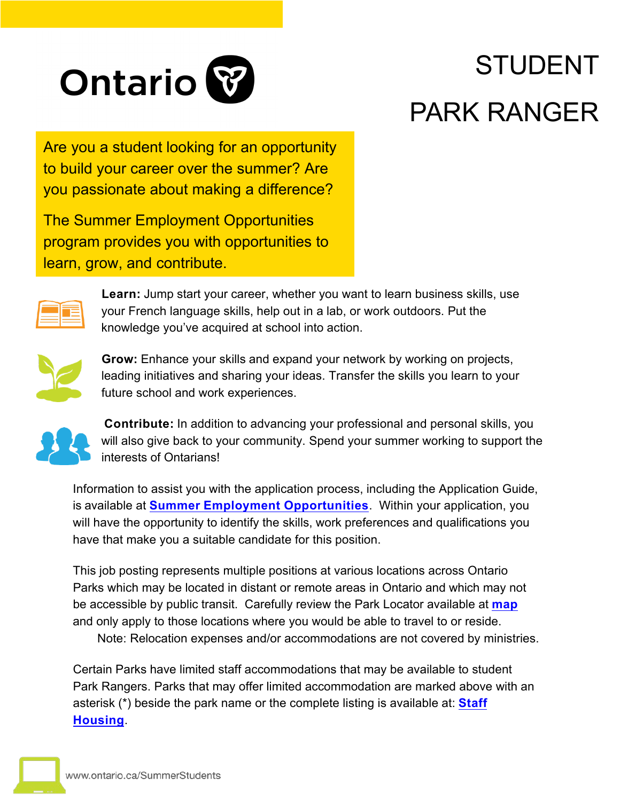

# STUDENT PARK RANGER

Are you a student looking for an opportunity to build your career over the summer? Are you passionate about making a difference?

The Summer Employment Opportunities program provides you with opportunities to learn, grow, and contribute.



**Learn:** Jump start your career, whether you want to learn business skills, use your French language skills, help out in a lab, or work outdoors. Put the knowledge you've acquired at school into action.



**Grow:** Enhance your skills and expand your network by working on projects, leading initiatives and sharing your ideas. Transfer the skills you learn to your future school and work experiences.



**Contribute:** In addition to advancing your professional and personal skills, you will also give back to your community. Spend your summer working to support the interests of Ontarians!

Information to assist you with the application process, including the Application Guide, is available at **[Summer Employment Opportunities](https://www.gojobs.gov.on.ca/Pages/SEP.aspx)**. Within your application, you will have the opportunity to identify the skills, work preferences and qualifications you have that make you a suitable candidate for this position.

This job posting represents multiple positions at various locations across Ontario Parks which may be located in distant or remote areas in Ontario and which may not be accessible by public transit. Carefully review the Park Locator available at **[map](http://www.ontarioparks.com/park-locator/)** and only apply to those locations where you would be able to travel to or reside.

Note: Relocation expenses and/or accommodations are not covered by ministries.

Certain Parks have limited staff accommodations that may be available to student Park Rangers. Parks that may offer limited accommodation are marked above with an [asterisk \(\\*\) beside the park name or the complete listing is available at:](https://www.gojobs.gov.on.ca/docs/OntarioParksStaffHousesList.pdf) **Staff Housing**.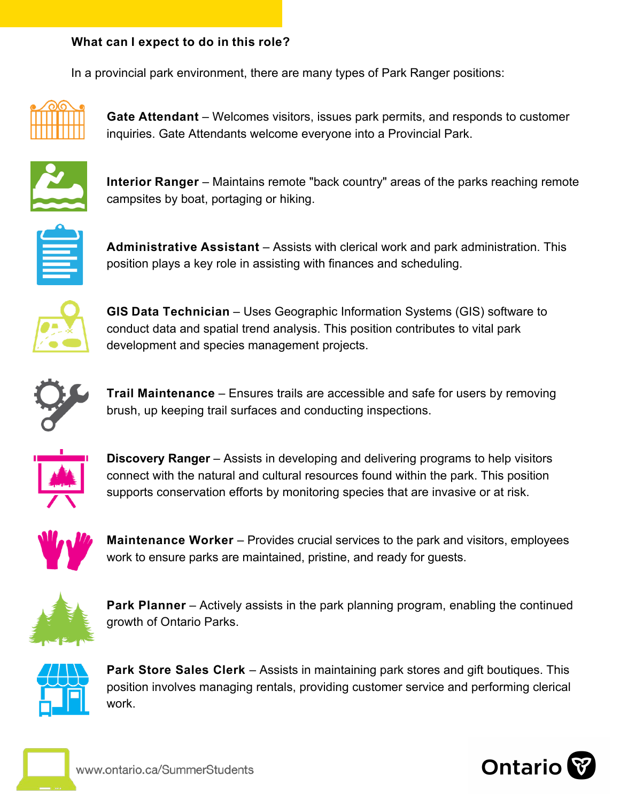### **What can I expect to do in this role?**

In a provincial park environment, there are many types of Park Ranger positions:



**Gate Attendant** – Welcomes visitors, issues park permits, and responds to customer inquiries. Gate Attendants welcome everyone into a Provincial Park.



**Interior Ranger** – Maintains remote "back country" areas of the parks reaching remote campsites by boat, portaging or hiking.



**Administrative Assistant** – Assists with clerical work and park administration. This position plays a key role in assisting with finances and scheduling.



**GIS Data Technician** – Uses Geographic Information Systems (GIS) software to conduct data and spatial trend analysis. This position contributes to vital park development and species management projects.



**Trail Maintenance** – Ensures trails are accessible and safe for users by removing brush, up keeping trail surfaces and conducting inspections.



**Discovery Ranger** – Assists in developing and delivering programs to help visitors connect with the natural and cultural resources found within the park. This position supports conservation efforts by monitoring species that are invasive or at risk.



**Maintenance Worker** – Provides crucial services to the park and visitors, employees work to ensure parks are maintained, pristine, and ready for guests.



**Park Planner** – Actively assists in the park planning program, enabling the continued growth of Ontario Parks.



**Park Store Sales Clerk** – Assists in maintaining park stores and gift boutiques. This position involves managing rentals, providing customer service and performing clerical work.

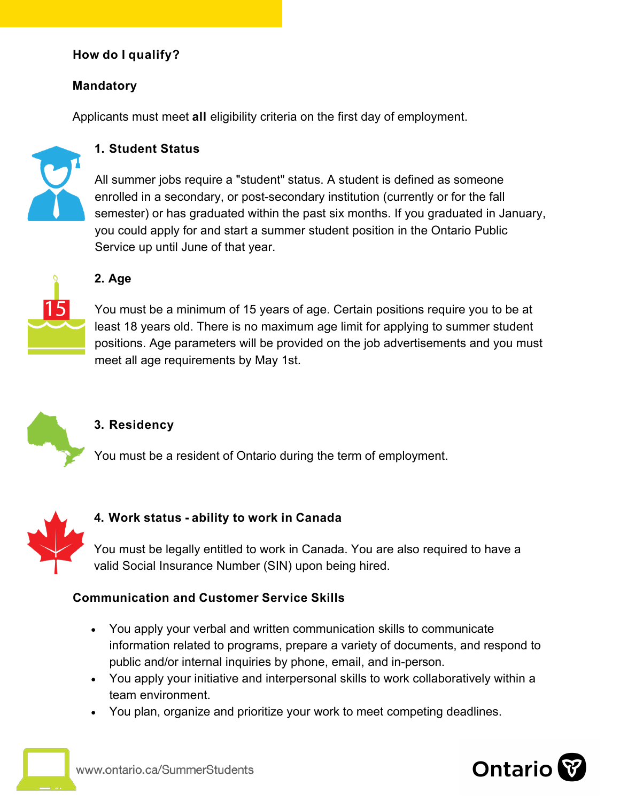## **How do I qualify?**

## **Mandatory**

Applicants must meet **all** eligibility criteria on the first day of employment.



## **1. Student Status**

All summer jobs require a "student" status. A student is defined as someone enrolled in a secondary, or post-secondary institution (currently or for the fall semester) or has graduated within the past six months. If you graduated in January, you could apply for and start a summer student position in the Ontario Public Service up until June of that year.



## **2. Age**

You must be a minimum of 15 years of age. Certain positions require you to be at least 18 years old. There is no maximum age limit for applying to summer student positions. Age parameters will be provided on the job advertisements and you must meet all age requirements by May 1st.



# **3. Residency**

You must be a resident of Ontario during the term of employment.



## **4. Work status - ability to work in Canada**

You must be legally entitled to work in Canada. You are also required to have a valid Social Insurance Number (SIN) upon being hired.

## **Communication and Customer Service Skills**

- You apply your verbal and written communication skills to communicate information related to programs, prepare a variety of documents, and respond to public and/or internal inquiries by phone, email, and in-person.
- You apply your initiative and interpersonal skills to work collaboratively within a team environment.
- You plan, organize and prioritize your work to meet competing deadlines.